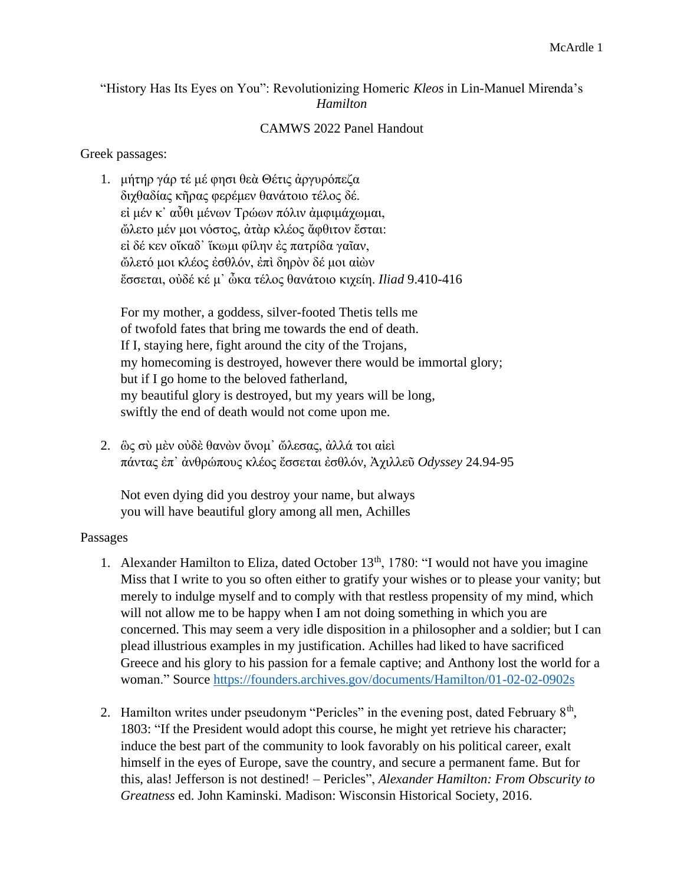## "History Has Its Eyes on You": Revolutionizing Homeric *Kleos* in Lin-Manuel Mirenda's *Hamilton*

## CAMWS 2022 Panel Handout

## Greek passages:

1. μήτηρ γάρ τέ μέ φησι θεὰ Θέτις ἀργυρόπεζα διχθαδίας κῆρας φερέμεν θανάτοιο τέλος δέ. εἰ μέν κ᾽ αὖθι μένων Τρώων πόλιν ἀμφιμάχωμαι, ὤλετο μέν μοι νόστος, ἀτὰρ κλέος ἄφθιτον ἔσται: εἰ δέ κεν οἴκαδ᾽ ἵκωμι φίλην ἐς πατρίδα γαῖαν, ὤλετό μοι κλέος ἐσθλόν, ἐπὶ δηρὸν δέ μοι αἰὼν ἔσσεται, οὐδέ κέ μ᾽ ὦκα τέλος θανάτοιο κιχείη. *Iliad* 9.410-416

For my mother, a goddess, silver-footed Thetis tells me of twofold fates that bring me towards the end of death. If I, staying here, fight around the city of the Trojans, my homecoming is destroyed, however there would be immortal glory; but if I go home to the beloved fatherland, my beautiful glory is destroyed, but my years will be long, swiftly the end of death would not come upon me.

2. ὣς σὺ μὲν οὐδὲ θανὼν ὄνομ᾽ ὤλεσας, ἀλλά τοι αἰεὶ πάντας ἐπ᾽ ἀνθρώπους κλέος ἔσσεται ἐσθλόν, Ἀχιλλεῦ *Odyssey* 24.94-95

Not even dying did you destroy your name, but always you will have beautiful glory among all men, Achilles

## Passages

- 1. Alexander Hamilton to Eliza, dated October  $13<sup>th</sup>$ , 1780: "I would not have you imagine Miss that I write to you so often either to gratify your wishes or to please your vanity; but merely to indulge myself and to comply with that restless propensity of my mind, which will not allow me to be happy when I am not doing something in which you are concerned. This may seem a very idle disposition in a philosopher and a soldier; but I can plead illustrious examples in my justification. Achilles had liked to have sacrificed Greece and his glory to his passion for a female captive; and Anthony lost the world for a woman." Source<https://founders.archives.gov/documents/Hamilton/01-02-02-0902s>
- 2. Hamilton writes under pseudonym "Pericles" in the evening post, dated February  $8<sup>th</sup>$ , 1803: "If the President would adopt this course, he might yet retrieve his character; induce the best part of the community to look favorably on his political career, exalt himself in the eyes of Europe, save the country, and secure a permanent fame. But for this, alas! Jefferson is not destined! – Pericles", *Alexander Hamilton: From Obscurity to Greatness* ed. John Kaminski*.* Madison: Wisconsin Historical Society, 2016.